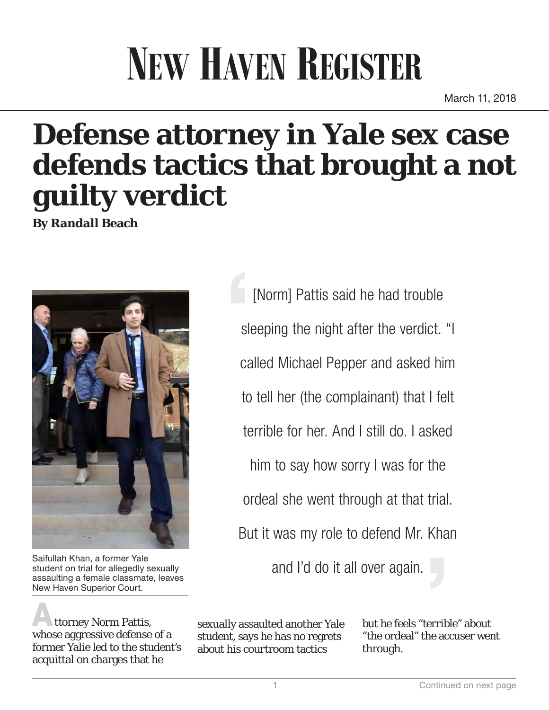## **NEW HAVEN REGISTER**

March 11, 2018

## **Defense attorney in Yale sex case defends tactics that brought a not guilty verdict**

**By Randall Beach**



student on trial for allegedly sexually assaulting a female classmate, leaves New Haven Superior Court.

ttorney Norm Pattis, whose aggressive defense of a former Yalie led to the student's acquittal on charges that he

[Norm] Pattis said he had trouble sleeping the night after the verdict. "I called Michael Pepper and asked him to tell her (the complainant) that I felt terrible for her. And I still do. I asked him to say how sorry I was for the ordeal she went through at that trial. But it was my role to defend Mr. Khan Saifullah Khan, a former Yale<br>student on trial for allegedly sexually student on trial for allegedly sexually

> sexually assaulted another Yale student, says he has no regrets about his courtroom tactics

but he feels "terrible" about "the ordeal" the accuser went through.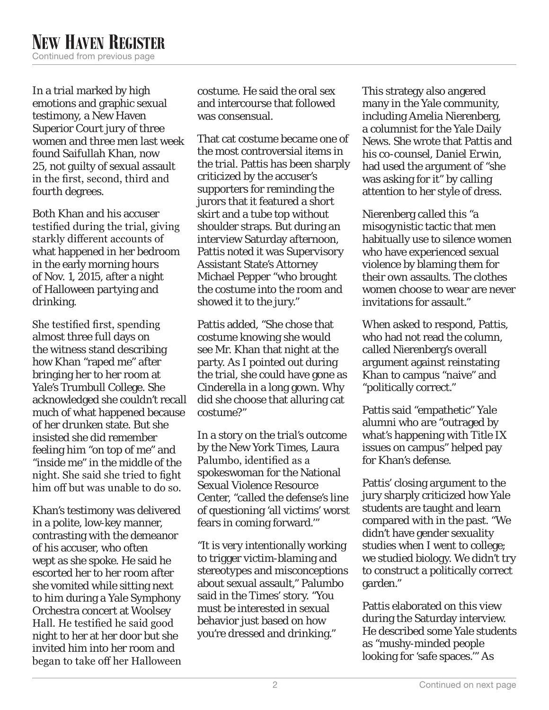In a trial marked by high emotions and graphic sexual testimony, a New Haven Superior Court jury of three women and three men last week found Saifullah Khan, now 25, not guilty of sexual assault in the first, second, third and fourth degrees.

Both Khan and his accuser testified during the trial, giving starkly different accounts of what happened in her bedroom in the early morning hours of Nov. 1, 2015, after a night of Halloween partying and drinking.

She testified first, spending almost three full days on the witness stand describing how Khan "raped me" after bringing her to her room at Yale's Trumbull College. She acknowledged she couldn't recall much of what happened because of her drunken state. But she insisted she did remember feeling him "on top of me" and "inside me" in the middle of the night. She said she tried to fight him off but was unable to do so.

Khan's testimony was delivered in a polite, low-key manner, contrasting with the demeanor of his accuser, who often wept as she spoke. He said he escorted her to her room after she vomited while sitting next to him during a Yale Symphony Orchestra concert at Woolsey Hall. He testified he said good night to her at her door but she invited him into her room and began to take off her Halloween costume. He said the oral sex and intercourse that followed was consensual.

That cat costume became one of the most controversial items in the trial. Pattis has been sharply criticized by the accuser's supporters for reminding the jurors that it featured a short skirt and a tube top without shoulder straps. But during an interview Saturday afternoon, Pattis noted it was Supervisory Assistant State's Attorney Michael Pepper "who brought the costume into the room and showed it to the jury."

Pattis added, "She chose that costume knowing she would see Mr. Khan that night at the party. As I pointed out during the trial, she could have gone as Cinderella in a long gown. Why did she choose that alluring cat costume?"

In a story on the trial's outcome by the New York Times, Laura Palumbo, identified as a spokeswoman for the National Sexual Violence Resource Center, "called the defense's line of questioning 'all victims' worst fears in coming forward.'"

"It is very intentionally working to trigger victim-blaming and stereotypes and misconceptions about sexual assault," Palumbo said in the Times' story. "You must be interested in sexual behavior just based on how you're dressed and drinking."

This strategy also angered many in the Yale community, including Amelia Nierenberg, a columnist for the Yale Daily News. She wrote that Pattis and his co-counsel, Daniel Erwin, had used the argument of "she was asking for it" by calling attention to her style of dress.

Nierenberg called this "a misogynistic tactic that men habitually use to silence women who have experienced sexual violence by blaming them for their own assaults. The clothes women choose to wear are never invitations for assault."

When asked to respond, Pattis, who had not read the column, called Nierenberg's overall argument against reinstating Khan to campus "naive" and "politically correct."

Pattis said "empathetic" Yale alumni who are "outraged by what's happening with Title IX issues on campus" helped pay for Khan's defense.

Pattis' closing argument to the jury sharply criticized how Yale students are taught and learn compared with in the past. "We didn't have gender sexuality studies when I went to college; we studied biology. We didn't try to construct a politically correct garden."

Pattis elaborated on this view during the Saturday interview. He described some Yale students as "mushy-minded people looking for 'safe spaces.'" As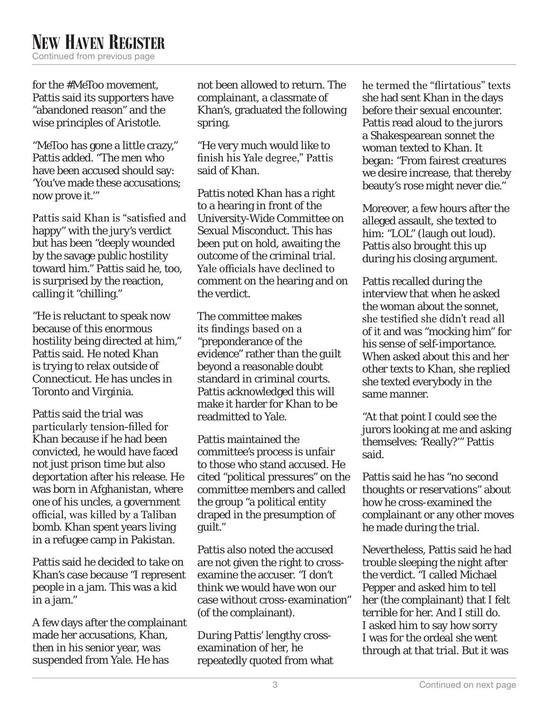## **NEW HAVEN REGISTER** Continued from previous page

for the #MeToo movement, Pattis said its supporters have "abandoned reason" and the wise principles of Aristotle.

"MeToo has gone a little crazy," Pattis added. "The men who have been accused should say: 'You've made these accusations; now prove it.'"

Pattis said Khan is "satisfied and happy" with the jury's verdict but has been "deeply wounded by the savage public hostility toward him." Pattis said he, too, is surprised by the reaction, calling it "chilling."

"He is reluctant to speak now because of this enormous hostility being directed at him," Pattis said. He noted Khan is trying to relax outside of Connecticut. He has uncles in Toronto and Virginia.

Pattis said the trial was particularly tension-filled for Khan because if he had been convicted, he would have faced not just prison time but also deportation after his release. He was born in Afghanistan, where one of his uncles, a government official, was killed by a Taliban bomb. Khan spent years living in a refugee camp in Pakistan.

Pattis said he decided to take on Khan's case because "I represent people in a jam. This was a kid in a jam."

A few days after the complainant made her accusations, Khan, then in his senior year, was suspended from Yale. He has

not been allowed to return. The complainant, a classmate of Khan's, graduated the following spring.

"He very much would like to finish his Yale degree," Pattis said of Khan.

Pattis noted Khan has a right to a hearing in front of the University-Wide Committee on Sexual Misconduct. This has been put on hold, awaiting the outcome of the criminal trial. Yale officials have declined to comment on the hearing and on the verdict.

The committee makes its findings based on a "preponderance of the evidence" rather than the guilt beyond a reasonable doubt standard in criminal courts. Pattis acknowledged this will make it harder for Khan to be readmitted to Yale.

Pattis maintained the committee's process is unfair to those who stand accused. He cited "political pressures" on the committee members and called the group "a political entity draped in the presumption of guilt."

Pattis also noted the accused are not given the right to crossexamine the accuser. "I don't think we would have won our case without cross-examination" (of the complainant).

During Pattis' lengthy crossexamination of her, he repeatedly quoted from what he termed the "flirtatious" texts she had sent Khan in the days before their sexual encounter. Pattis read aloud to the jurors a Shakespearean sonnet the woman texted to Khan. It began: "From fairest creatures we desire increase, that thereby beauty's rose might never die."

Moreover, a few hours after the alleged assault, she texted to him: "LOL" (laugh out loud). Pattis also brought this up during his closing argument.

Pattis recalled during the interview that when he asked the woman about the sonnet, she testified she didn't read all of it and was "mocking him" for his sense of self-importance. When asked about this and her other texts to Khan, she replied she texted everybody in the same manner.

"At that point I could see the jurors looking at me and asking themselves: 'Really?'" Pattis said.

Pattis said he has "no second thoughts or reservations" about how he cross-examined the complainant or any other moves he made during the trial.

Nevertheless, Pattis said he had trouble sleeping the night after the verdict. "I called Michael Pepper and asked him to tell her (the complainant) that I felt terrible for her. And I still do. I asked him to say how sorry I was for the ordeal she went through at that trial. But it was